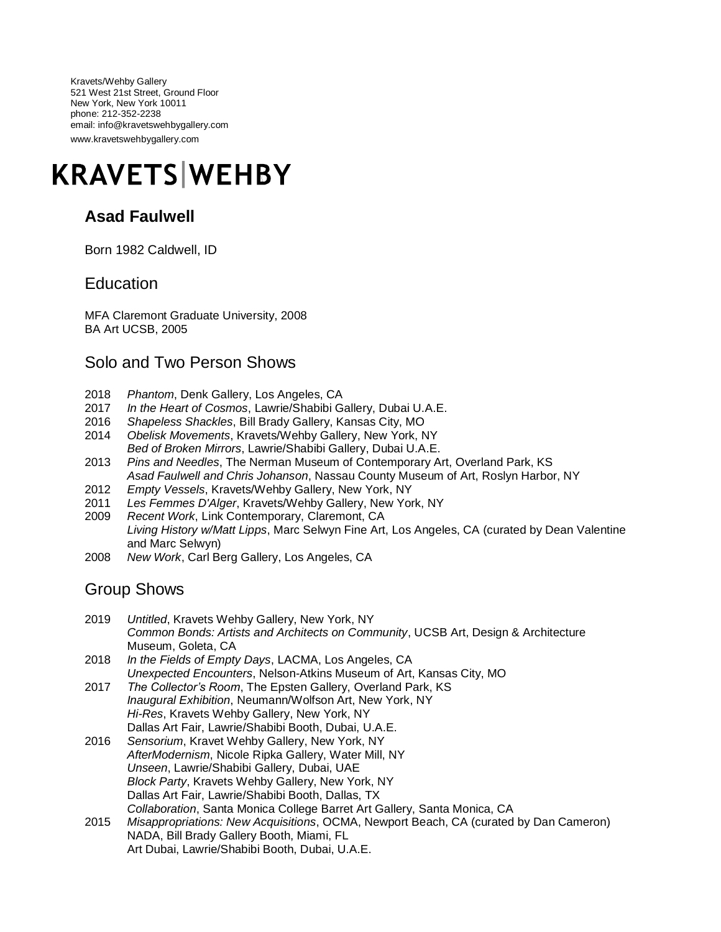Kravets/Wehby Gallery 521 West 21st Street, Ground Floor New York, New York 10011 phone: 212-352-2238 email: info@kravetswehbygallery.com www.kravetswehbygallery.com

# **KRAVETS WEHBY**

## **Asad Faulwell**

Born 1982 Caldwell, ID

#### **Education**

MFA Claremont Graduate University, 2008 BA Art UCSB, 2005

#### Solo and Two Person Shows

- 2018 *Phantom*, Denk Gallery, Los Angeles, CA
- 2017 *In the Heart of Cosmos*, Lawrie/Shabibi Gallery, Dubai U.A.E.
- 2016 *Shapeless Shackles*, Bill Brady Gallery, Kansas City, MO
- 2014 *Obelisk Movements*, Kravets/Wehby Gallery, New York, NY *Bed of Broken Mirrors*, Lawrie/Shabibi Gallery, Dubai U.A.E.
- 2013 *Pins and Needles*, The Nerman Museum of Contemporary Art, Overland Park, KS *Asad Faulwell and Chris Johanson*, Nassau County Museum of Art, Roslyn Harbor, NY
- 2012 *Empty Vessels*, Kravets/Wehby Gallery, New York, NY
- 2011 *Les Femmes D'Alger*, Kravets/Wehby Gallery, New York, NY
- 2009 *Recent Work*, Link Contemporary, Claremont, CA *Living History w/Matt Lipps*, Marc Selwyn Fine Art, Los Angeles, CA (curated by Dean Valentine and Marc Selwyn)
- 2008 *New Work*, Carl Berg Gallery, Los Angeles, CA

#### Group Shows

- 2019 *Untitled*, Kravets Wehby Gallery, New York, NY *Common Bonds: Artists and Architects on Community*, UCSB Art, Design & Architecture Museum, Goleta, CA
- 2018 *In the Fields of Empty Days*, LACMA, Los Angeles, CA *Unexpected Encounters*, Nelson-Atkins Museum of Art, Kansas City, MO
- 2017 *The Collector's Room*, The Epsten Gallery, Overland Park, KS *Inaugural Exhibition*, Neumann/Wolfson Art, New York, NY *Hi-Res*, Kravets Wehby Gallery, New York, NY Dallas Art Fair, Lawrie/Shabibi Booth, Dubai, U.A.E.
- 2016 *Sensorium*, Kravet Wehby Gallery, New York, NY *AfterModernism*, Nicole Ripka Gallery, Water Mill, NY *Unseen*, Lawrie/Shabibi Gallery, Dubai, UAE *Block Party*, Kravets Wehby Gallery, New York, NY Dallas Art Fair, Lawrie/Shabibi Booth, Dallas, TX *Collaboration*, Santa Monica College Barret Art Gallery, Santa Monica, CA
- 2015 *Misappropriations: New Acquisitions*, OCMA, Newport Beach, CA (curated by Dan Cameron) NADA, Bill Brady Gallery Booth, Miami, FL Art Dubai, Lawrie/Shabibi Booth, Dubai, U.A.E.